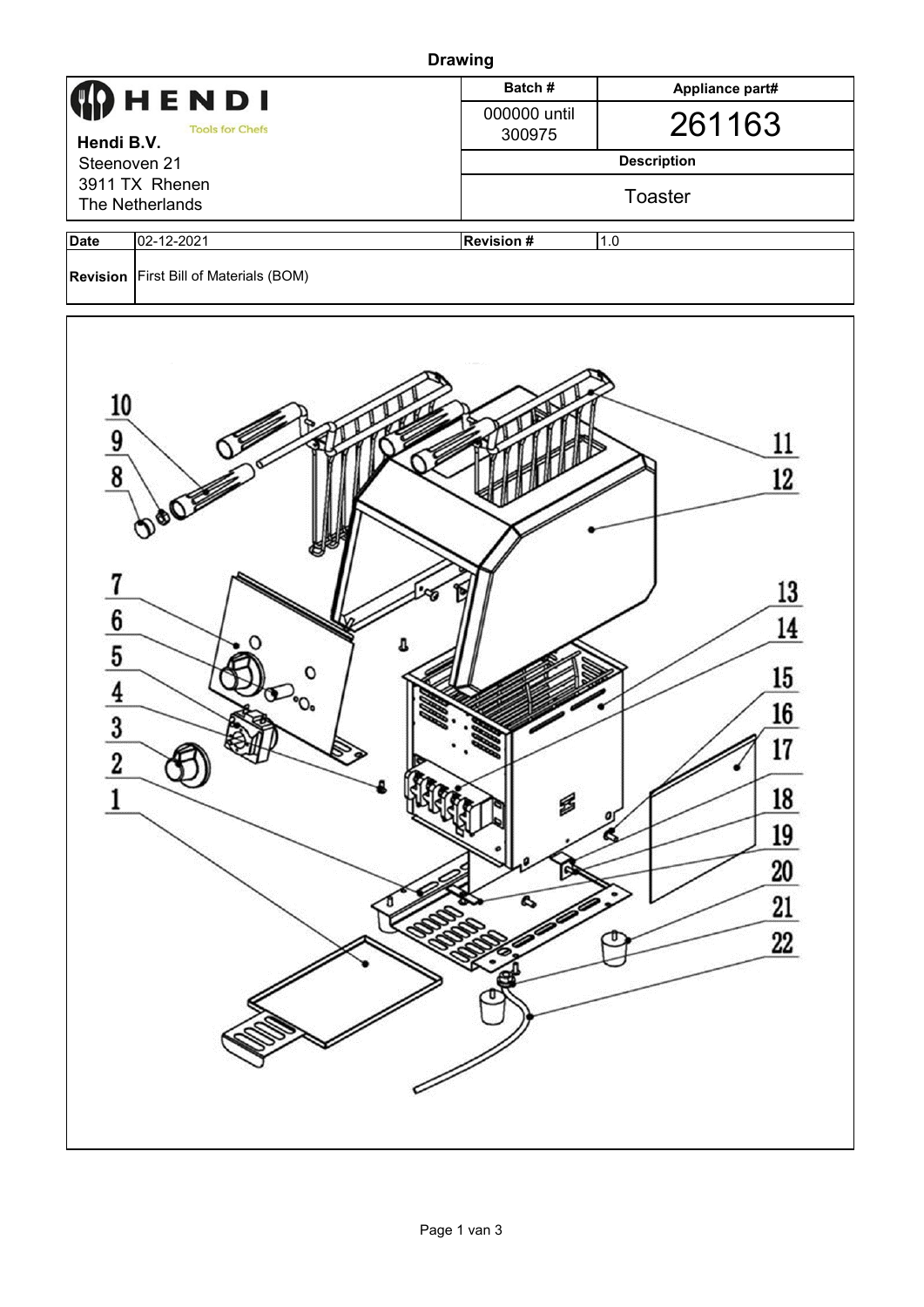| <b>Drawing</b>                                                                                                                                                                                         |                                          |                        |                 |  |  |  |  |  |
|--------------------------------------------------------------------------------------------------------------------------------------------------------------------------------------------------------|------------------------------------------|------------------------|-----------------|--|--|--|--|--|
| HENDI<br><b>Tools for Chefs</b><br>Hendi B.V.<br>Steenoven 21                                                                                                                                          |                                          | Batch#                 | Appliance part# |  |  |  |  |  |
|                                                                                                                                                                                                        |                                          | 000000 until<br>300975 | 261163          |  |  |  |  |  |
|                                                                                                                                                                                                        |                                          | <b>Description</b>     |                 |  |  |  |  |  |
| 3911 TX Rhenen                                                                                                                                                                                         |                                          | Toaster                |                 |  |  |  |  |  |
| The Netherlands                                                                                                                                                                                        |                                          |                        |                 |  |  |  |  |  |
| <b>Date</b>                                                                                                                                                                                            | 02-12-2021                               | <b>Revision#</b>       | 1.0             |  |  |  |  |  |
|                                                                                                                                                                                                        | Revision   First Bill of Materials (BOM) |                        |                 |  |  |  |  |  |
| $\frac{10}{9}$<br>12<br>7<br>13<br>$\frac{6}{5}$ $\frac{4}{3}$<br>14<br>$15\phantom{.0}$<br>$\rm ^{o}O_{o}$<br><u>16</u><br>17<br>$\bf{2}$<br>18<br>S<br>0<br>19<br>G<br>20<br>21<br>Q<br>22<br>э<br>υ |                                          |                        |                 |  |  |  |  |  |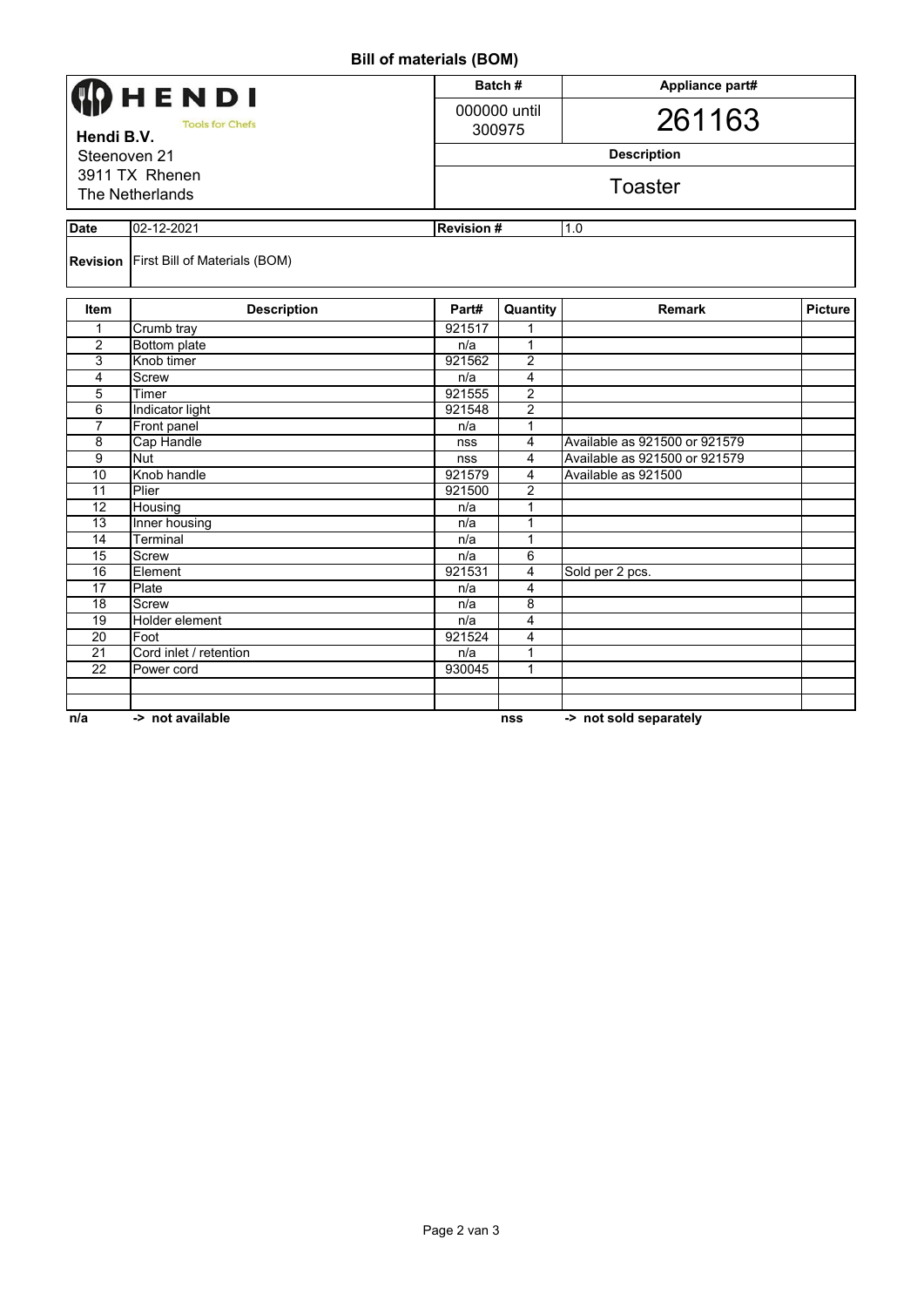## **Bill of materials (BOM)**

|                                                                                           |                                               | $\frac{1}{2}$ . a.o. .a.o $\frac{1}{2}$ o, |                         |                               |                |  |  |  |  |  |  |
|-------------------------------------------------------------------------------------------|-----------------------------------------------|--------------------------------------------|-------------------------|-------------------------------|----------------|--|--|--|--|--|--|
|                                                                                           | <b>)</b> HENDI                                |                                            | Batch#                  | Appliance part#               |                |  |  |  |  |  |  |
|                                                                                           |                                               |                                            | 000000 until            |                               |                |  |  |  |  |  |  |
| <b>Tools for Chefs</b><br>Hendi B.V.<br>Steenoven 21<br>3911 TX Rhenen<br>The Netherlands |                                               |                                            | 300975                  | 261163                        |                |  |  |  |  |  |  |
|                                                                                           |                                               |                                            | <b>Description</b>      |                               |                |  |  |  |  |  |  |
|                                                                                           |                                               |                                            | <b>Toaster</b>          |                               |                |  |  |  |  |  |  |
|                                                                                           |                                               |                                            |                         |                               |                |  |  |  |  |  |  |
| <b>Date</b>                                                                               | 02-12-2021                                    |                                            | <b>Revision#</b><br>1.0 |                               |                |  |  |  |  |  |  |
|                                                                                           | <b>Revision</b> First Bill of Materials (BOM) |                                            |                         |                               |                |  |  |  |  |  |  |
| Item                                                                                      | <b>Description</b>                            | Part#                                      | Quantity                | <b>Remark</b>                 | <b>Picture</b> |  |  |  |  |  |  |
| 1                                                                                         | Crumb tray                                    | 921517                                     | 1                       |                               |                |  |  |  |  |  |  |
| $\overline{2}$                                                                            | <b>Bottom plate</b>                           | n/a                                        | $\mathbf{1}$            |                               |                |  |  |  |  |  |  |
| 3                                                                                         | Knob timer                                    | 921562                                     | $\overline{c}$          |                               |                |  |  |  |  |  |  |
| 4                                                                                         | Screw                                         | n/a                                        | $\overline{\mathbf{4}}$ |                               |                |  |  |  |  |  |  |
| 5                                                                                         | Timer                                         | 921555                                     | $\overline{c}$          |                               |                |  |  |  |  |  |  |
| 6                                                                                         | Indicator light                               | 921548                                     | $\overline{2}$          |                               |                |  |  |  |  |  |  |
| $\overline{7}$                                                                            | Front panel                                   | n/a                                        | 1                       |                               |                |  |  |  |  |  |  |
| $\overline{\mathbf{8}}$                                                                   | Cap Handle                                    | nss                                        | 4                       | Available as 921500 or 921579 |                |  |  |  |  |  |  |
| $\overline{9}$                                                                            | <b>Nut</b>                                    | nss                                        | 4                       | Available as 921500 or 921579 |                |  |  |  |  |  |  |
| 10                                                                                        | Knob handle                                   | 921579                                     | 4                       | Available as 921500           |                |  |  |  |  |  |  |
| 11                                                                                        | Plier                                         | 921500                                     | $\overline{c}$          |                               |                |  |  |  |  |  |  |
| 12                                                                                        | Housing                                       | n/a                                        | 1                       |                               |                |  |  |  |  |  |  |
| $\overline{13}$                                                                           | Inner housing                                 | n/a                                        | 1                       |                               |                |  |  |  |  |  |  |
| 14                                                                                        | Terminal                                      | n/a                                        | 1                       |                               |                |  |  |  |  |  |  |
| 15                                                                                        | <b>Screw</b>                                  | n/a                                        | 6                       |                               |                |  |  |  |  |  |  |
| 16                                                                                        | Element                                       | 921531                                     | 4                       | Sold per 2 pcs.               |                |  |  |  |  |  |  |
| 17                                                                                        | Plate                                         | n/a                                        | $\overline{4}$          |                               |                |  |  |  |  |  |  |
| 18                                                                                        | <b>Screw</b>                                  | n/a                                        | 8                       |                               |                |  |  |  |  |  |  |
| $\overline{19}$                                                                           | Holder element                                | n/a                                        | $\overline{4}$          |                               |                |  |  |  |  |  |  |
| $\overline{20}$                                                                           | Foot                                          | 921524                                     | 4                       |                               |                |  |  |  |  |  |  |
| 21                                                                                        | Cord inlet / retention                        | n/a                                        | 1                       |                               |                |  |  |  |  |  |  |
| $\overline{22}$                                                                           | Power cord                                    | 930045                                     | 1                       |                               |                |  |  |  |  |  |  |
|                                                                                           |                                               |                                            |                         |                               |                |  |  |  |  |  |  |
|                                                                                           |                                               |                                            |                         |                               |                |  |  |  |  |  |  |
| n/a                                                                                       | -> not available                              |                                            | nss                     | -> not sold separately        |                |  |  |  |  |  |  |